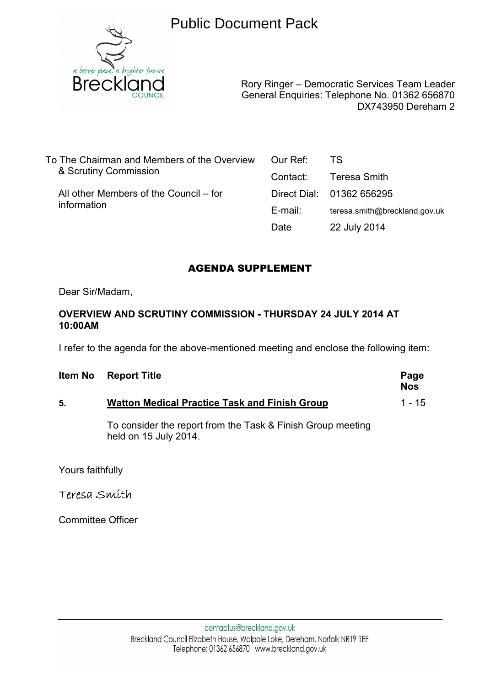

Public Document Pack

Rory Ringer – Democratic Services Team Leader General Enquiries: Telephone No. 01362 656870 DX743950 Dereham 2

To The Chairman and Members of the Overview & Scrutiny Commission

 All other Members of the Council – for information

| Our Ref: | TS                            |
|----------|-------------------------------|
| Contact: | Teresa Smith                  |
|          | Direct Dial: 01362 656295     |
| E-mail:  | teresa.smith@breckland.gov.uk |
| Date     | 22 July 2014                  |

# AGENDA SUPPLEMENT

Dear Sir/Madam,

# **OVERVIEW AND SCRUTINY COMMISSION - THURSDAY 24 JULY 2014 AT 10:00AM**

I refer to the agenda for the above-mentioned meeting and enclose the following item:

| Item No | <b>Report Title</b>                                                                  | Page<br>Nos |
|---------|--------------------------------------------------------------------------------------|-------------|
| 5.      | <b>Watton Medical Practice Task and Finish Group</b>                                 | $1 - 15$    |
|         | To consider the report from the Task & Finish Group meeting<br>held on 15 July 2014. |             |

Yours faithfully

Teresa Smith

Committee Officer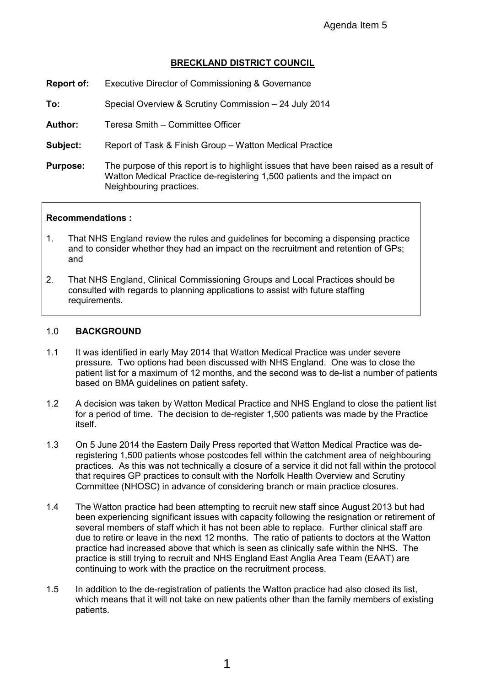# **BRECKLAND DISTRICT COUNCIL**

- **Report of:** Executive Director of Commissioning & Governance
- **To:** Special Overview & Scrutiny Commission 24 July 2014

**Author:** Teresa Smith – Committee Officer

**Subject:** Report of Task & Finish Group – Watton Medical Practice

**Purpose:** The purpose of this report is to highlight issues that have been raised as a result of Watton Medical Practice de-registering 1,500 patients and the impact on Neighbouring practices.

#### **Recommendations :**

- 1. That NHS England review the rules and guidelines for becoming a dispensing practice and to consider whether they had an impact on the recruitment and retention of GPs; and
- 2. That NHS England, Clinical Commissioning Groups and Local Practices should be consulted with regards to planning applications to assist with future staffing requirements.

#### 1.0 **BACKGROUND**

- 1.1 It was identified in early May 2014 that Watton Medical Practice was under severe pressure. Two options had been discussed with NHS England. One was to close the patient list for a maximum of 12 months, and the second was to de-list a number of patients based on BMA guidelines on patient safety.
- 1.2 A decision was taken by Watton Medical Practice and NHS England to close the patient list for a period of time. The decision to de-register 1,500 patients was made by the Practice itself.
- 1.3 On 5 June 2014 the Eastern Daily Press reported that Watton Medical Practice was deregistering 1,500 patients whose postcodes fell within the catchment area of neighbouring practices. As this was not technically a closure of a service it did not fall within the protocol that requires GP practices to consult with the Norfolk Health Overview and Scrutiny Committee (NHOSC) in advance of considering branch or main practice closures.
- 1.4 The Watton practice had been attempting to recruit new staff since August 2013 but had been experiencing significant issues with capacity following the resignation or retirement of several members of staff which it has not been able to replace. Further clinical staff are due to retire or leave in the next 12 months. The ratio of patients to doctors at the Watton practice had increased above that which is seen as clinically safe within the NHS. The practice is still trying to recruit and NHS England East Anglia Area Team (EAAT) are continuing to work with the practice on the recruitment process.
- 1.5 In addition to the de-registration of patients the Watton practice had also closed its list, which means that it will not take on new patients other than the family members of existing patients.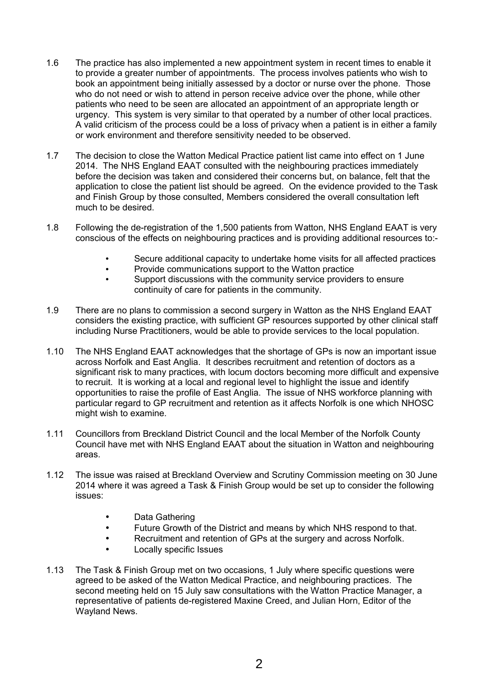- 1.6 The practice has also implemented a new appointment system in recent times to enable it to provide a greater number of appointments. The process involves patients who wish to book an appointment being initially assessed by a doctor or nurse over the phone. Those who do not need or wish to attend in person receive advice over the phone, while other patients who need to be seen are allocated an appointment of an appropriate length or urgency. This system is very similar to that operated by a number of other local practices. A valid criticism of the process could be a loss of privacy when a patient is in either a family or work environment and therefore sensitivity needed to be observed.
- 1.7 The decision to close the Watton Medical Practice patient list came into effect on 1 June 2014. The NHS England EAAT consulted with the neighbouring practices immediately before the decision was taken and considered their concerns but, on balance, felt that the application to close the patient list should be agreed. On the evidence provided to the Task and Finish Group by those consulted, Members considered the overall consultation left much to be desired.
- 1.8 Following the de-registration of the 1,500 patients from Watton, NHS England EAAT is very conscious of the effects on neighbouring practices and is providing additional resources to:-
	- Secure additional capacity to undertake home visits for all affected practices
	- Provide communications support to the Watton practice
	- Support discussions with the community service providers to ensure continuity of care for patients in the community.
- 1.9 There are no plans to commission a second surgery in Watton as the NHS England EAAT considers the existing practice, with sufficient GP resources supported by other clinical staff including Nurse Practitioners, would be able to provide services to the local population.
- 1.10 The NHS England EAAT acknowledges that the shortage of GPs is now an important issue across Norfolk and East Anglia. It describes recruitment and retention of doctors as a significant risk to many practices, with locum doctors becoming more difficult and expensive to recruit. It is working at a local and regional level to highlight the issue and identify opportunities to raise the profile of East Anglia. The issue of NHS workforce planning with particular regard to GP recruitment and retention as it affects Norfolk is one which NHOSC might wish to examine.
- 1.11 Councillors from Breckland District Council and the local Member of the Norfolk County Council have met with NHS England EAAT about the situation in Watton and neighbouring areas.
- 1.12 The issue was raised at Breckland Overview and Scrutiny Commission meeting on 30 June 2014 where it was agreed a Task & Finish Group would be set up to consider the following issues:
	- Data Gathering
	- Future Growth of the District and means by which NHS respond to that.
	- Recruitment and retention of GPs at the surgery and across Norfolk.
	- Locally specific Issues
- 1.13 The Task & Finish Group met on two occasions, 1 July where specific questions were agreed to be asked of the Watton Medical Practice, and neighbouring practices. The second meeting held on 15 July saw consultations with the Watton Practice Manager, a representative of patients de-registered Maxine Creed, and Julian Horn, Editor of the Wayland News.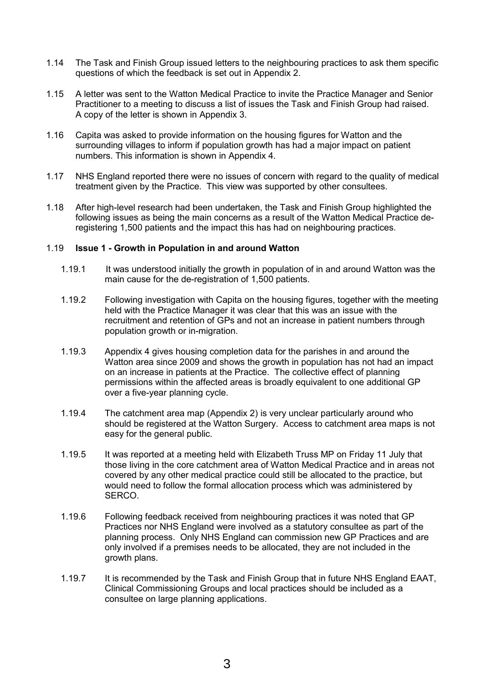- 1.14 The Task and Finish Group issued letters to the neighbouring practices to ask them specific questions of which the feedback is set out in Appendix 2.
- 1.15 A letter was sent to the Watton Medical Practice to invite the Practice Manager and Senior Practitioner to a meeting to discuss a list of issues the Task and Finish Group had raised. A copy of the letter is shown in Appendix 3.
- 1.16 Capita was asked to provide information on the housing figures for Watton and the surrounding villages to inform if population growth has had a major impact on patient numbers. This information is shown in Appendix 4.
- 1.17 NHS England reported there were no issues of concern with regard to the quality of medical treatment given by the Practice. This view was supported by other consultees.
- 1.18 After high-level research had been undertaken, the Task and Finish Group highlighted the following issues as being the main concerns as a result of the Watton Medical Practice deregistering 1,500 patients and the impact this has had on neighbouring practices.

#### 1.19 **Issue 1 - Growth in Population in and around Watton**

- 1.19.1 It was understood initially the growth in population of in and around Watton was the main cause for the de-registration of 1,500 patients.
- 1.19.2 Following investigation with Capita on the housing figures, together with the meeting held with the Practice Manager it was clear that this was an issue with the recruitment and retention of GPs and not an increase in patient numbers through population growth or in-migration.
- 1.19.3 Appendix 4 gives housing completion data for the parishes in and around the Watton area since 2009 and shows the growth in population has not had an impact on an increase in patients at the Practice. The collective effect of planning permissions within the affected areas is broadly equivalent to one additional GP over a five-year planning cycle.
- 1.19.4 The catchment area map (Appendix 2) is very unclear particularly around who should be registered at the Watton Surgery. Access to catchment area maps is not easy for the general public.
- 1.19.5 It was reported at a meeting held with Elizabeth Truss MP on Friday 11 July that those living in the core catchment area of Watton Medical Practice and in areas not covered by any other medical practice could still be allocated to the practice, but would need to follow the formal allocation process which was administered by SERCO.
- 1.19.6 Following feedback received from neighbouring practices it was noted that GP Practices nor NHS England were involved as a statutory consultee as part of the planning process. Only NHS England can commission new GP Practices and are only involved if a premises needs to be allocated, they are not included in the growth plans.
- 1.19.7 It is recommended by the Task and Finish Group that in future NHS England EAAT, Clinical Commissioning Groups and local practices should be included as a consultee on large planning applications.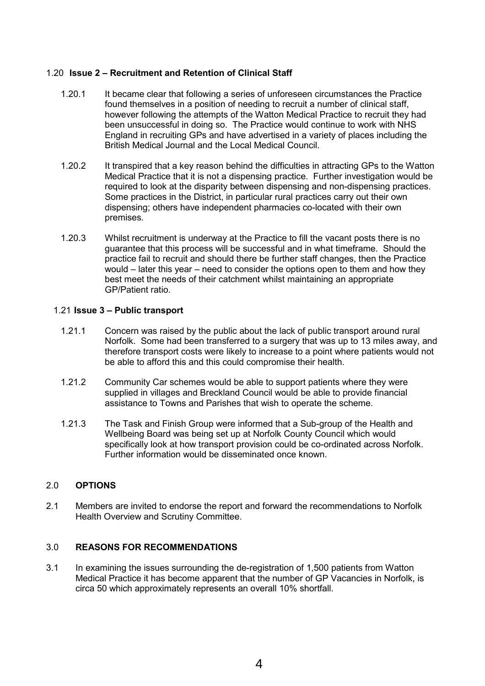## 1.20 **Issue 2 – Recruitment and Retention of Clinical Staff**

- 1.20.1 It became clear that following a series of unforeseen circumstances the Practice found themselves in a position of needing to recruit a number of clinical staff, however following the attempts of the Watton Medical Practice to recruit they had been unsuccessful in doing so. The Practice would continue to work with NHS England in recruiting GPs and have advertised in a variety of places including the British Medical Journal and the Local Medical Council.
- 1.20.2 It transpired that a key reason behind the difficulties in attracting GPs to the Watton Medical Practice that it is not a dispensing practice. Further investigation would be required to look at the disparity between dispensing and non-dispensing practices. Some practices in the District, in particular rural practices carry out their own dispensing; others have independent pharmacies co-located with their own premises.
- 1.20.3 Whilst recruitment is underway at the Practice to fill the vacant posts there is no guarantee that this process will be successful and in what timeframe. Should the practice fail to recruit and should there be further staff changes, then the Practice would – later this year – need to consider the options open to them and how they best meet the needs of their catchment whilst maintaining an appropriate GP/Patient ratio.

## 1.21 **Issue 3 – Public transport**

- 1.21.1 Concern was raised by the public about the lack of public transport around rural Norfolk. Some had been transferred to a surgery that was up to 13 miles away, and therefore transport costs were likely to increase to a point where patients would not be able to afford this and this could compromise their health.
- 1.21.2 Community Car schemes would be able to support patients where they were supplied in villages and Breckland Council would be able to provide financial assistance to Towns and Parishes that wish to operate the scheme.
- 1.21.3 The Task and Finish Group were informed that a Sub-group of the Health and Wellbeing Board was being set up at Norfolk County Council which would specifically look at how transport provision could be co-ordinated across Norfolk. Further information would be disseminated once known.

#### 2.0 **OPTIONS**

2.1 Members are invited to endorse the report and forward the recommendations to Norfolk Health Overview and Scrutiny Committee.

#### 3.0 **REASONS FOR RECOMMENDATIONS**

3.1 In examining the issues surrounding the de-registration of 1,500 patients from Watton Medical Practice it has become apparent that the number of GP Vacancies in Norfolk, is circa 50 which approximately represents an overall 10% shortfall.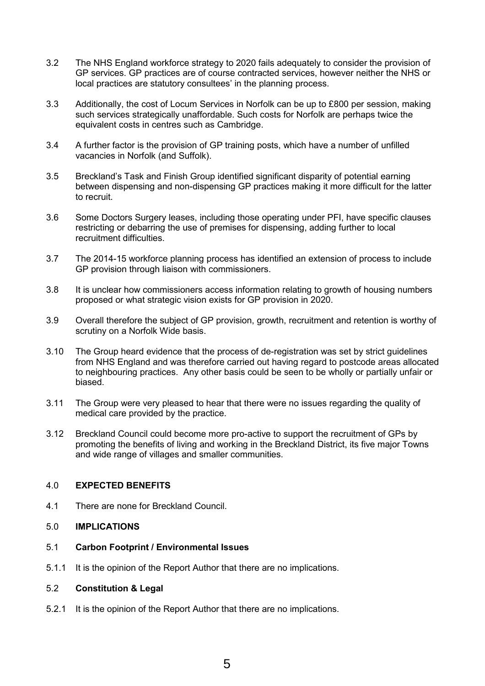- 3.2 The NHS England workforce strategy to 2020 fails adequately to consider the provision of GP services. GP practices are of course contracted services, however neither the NHS or local practices are statutory consultees' in the planning process.
- 3.3 Additionally, the cost of Locum Services in Norfolk can be up to £800 per session, making such services strategically unaffordable. Such costs for Norfolk are perhaps twice the equivalent costs in centres such as Cambridge.
- 3.4 A further factor is the provision of GP training posts, which have a number of unfilled vacancies in Norfolk (and Suffolk).
- 3.5 Breckland's Task and Finish Group identified significant disparity of potential earning between dispensing and non-dispensing GP practices making it more difficult for the latter to recruit.
- 3.6 Some Doctors Surgery leases, including those operating under PFI, have specific clauses restricting or debarring the use of premises for dispensing, adding further to local recruitment difficulties.
- 3.7 The 2014-15 workforce planning process has identified an extension of process to include GP provision through liaison with commissioners.
- 3.8 It is unclear how commissioners access information relating to growth of housing numbers proposed or what strategic vision exists for GP provision in 2020.
- 3.9 Overall therefore the subject of GP provision, growth, recruitment and retention is worthy of scrutiny on a Norfolk Wide basis.
- 3.10 The Group heard evidence that the process of de-registration was set by strict guidelines from NHS England and was therefore carried out having regard to postcode areas allocated to neighbouring practices. Any other basis could be seen to be wholly or partially unfair or biased.
- 3.11 The Group were very pleased to hear that there were no issues regarding the quality of medical care provided by the practice.
- 3.12 Breckland Council could become more pro-active to support the recruitment of GPs by promoting the benefits of living and working in the Breckland District, its five major Towns and wide range of villages and smaller communities.

#### 4.0 **EXPECTED BENEFITS**

- 4.1 There are none for Breckland Council.
- 5.0 **IMPLICATIONS**
- 5.1 **Carbon Footprint / Environmental Issues**
- 5.1.1 It is the opinion of the Report Author that there are no implications.

#### 5.2 **Constitution & Legal**

5.2.1 It is the opinion of the Report Author that there are no implications.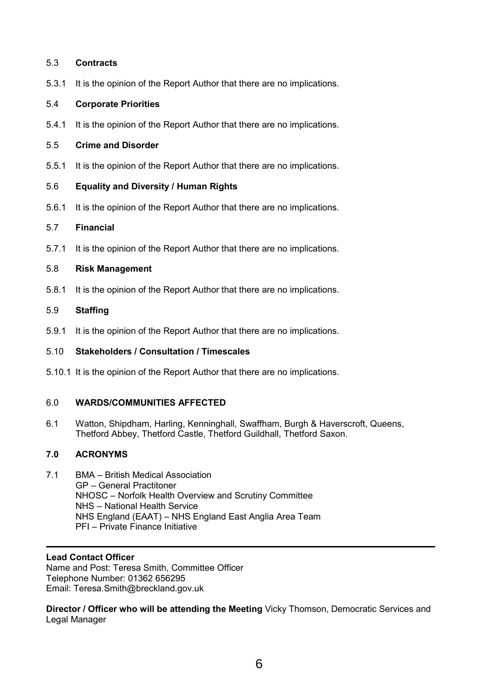#### 5.3 **Contracts**

5.3.1 It is the opinion of the Report Author that there are no implications.

### 5.4 **Corporate Priorities**

5.4.1 It is the opinion of the Report Author that there are no implications.

#### 5.5 **Crime and Disorder**

5.5.1 It is the opinion of the Report Author that there are no implications.

## 5.6 **Equality and Diversity / Human Rights**

5.6.1 It is the opinion of the Report Author that there are no implications.

## 5.7 **Financial**

5.7.1 It is the opinion of the Report Author that there are no implications.

## 5.8 **Risk Management**

5.8.1 It is the opinion of the Report Author that there are no implications.

## 5.9 **Staffing**

5.9.1 It is the opinion of the Report Author that there are no implications.

# 5.10 **Stakeholders / Consultation / Timescales**

5.10.1 It is the opinion of the Report Author that there are no implications.

# 6.0 **WARDS/COMMUNITIES AFFECTED**

6.1 Watton, Shipdham, Harling, Kenninghall, Swaffham, Burgh & Haverscroft, Queens, Thetford Abbey, Thetford Castle, Thetford Guildhall, Thetford Saxon.

# **7.0 ACRONYMS**

7.1 BMA – British Medical Association GP – General Practitoner NHOSC – Norfolk Health Overview and Scrutiny Committee NHS – National Health Service NHS England (EAAT) – NHS England East Anglia Area Team PFI – Private Finance Initiative

## **Lead Contact Officer**

Name and Post: Teresa Smith, Committee Officer Telephone Number: 01362 656295 Email: Teresa.Smith@breckland.gov.uk

**Director / Officer who will be attending the Meeting** Vicky Thomson, Democratic Services and Legal Manager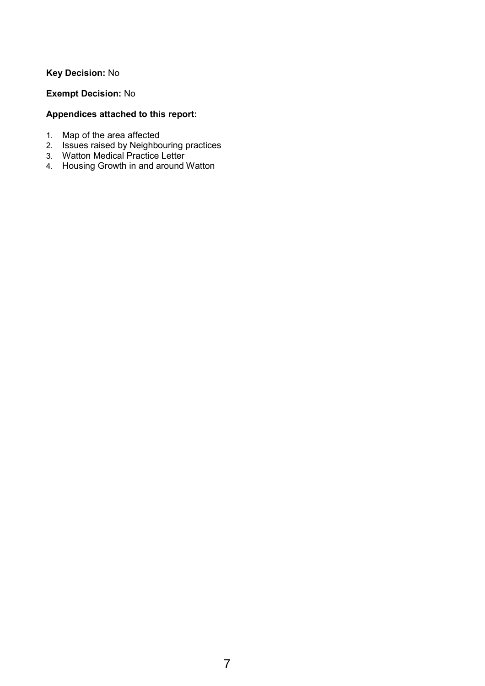# **Key Decision:** No

# **Exempt Decision:** No

# **Appendices attached to this report:**

- 1. Map of the area affected
- 2. Issues raised by Neighbouring practices
- 3. Watton Medical Practice Letter
- 4. Housing Growth in and around Watton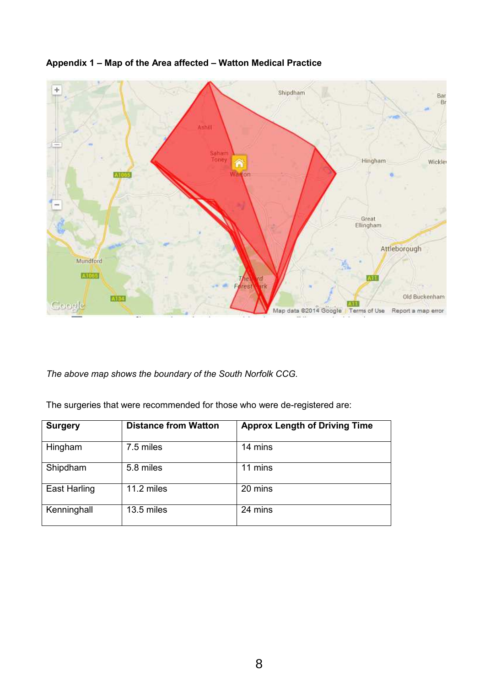

# **Appendix 1 – Map of the Area affected – Watton Medical Practice**

*The above map shows the boundary of the South Norfolk CCG.* 

The surgeries that were recommended for those who were de-registered are:

| <b>Surgery</b>      | <b>Distance from Watton</b> | <b>Approx Length of Driving Time</b> |
|---------------------|-----------------------------|--------------------------------------|
| Hingham             | 7.5 miles                   | 14 mins                              |
| Shipdham            | 5.8 miles                   | 11 mins                              |
| <b>East Harling</b> | 11.2 miles                  | 20 mins                              |
| Kenninghall         | 13.5 miles                  | 24 mins                              |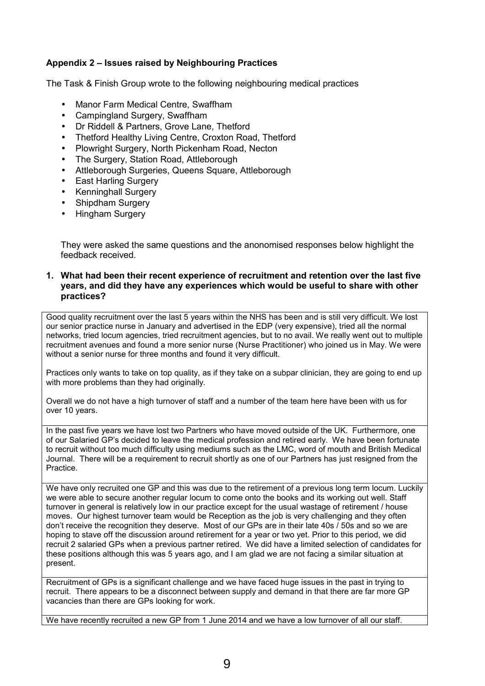## **Appendix 2 – Issues raised by Neighbouring Practices**

The Task & Finish Group wrote to the following neighbouring medical practices

- Manor Farm Medical Centre, Swaffham
- Campingland Surgery, Swaffham
- Dr Riddell & Partners, Grove Lane, Thetford
- Thetford Healthy Living Centre, Croxton Road, Thetford
- Plowright Surgery, North Pickenham Road, Necton
- The Surgery, Station Road, Attleborough
- Attleborough Surgeries, Queens Square, Attleborough
- East Harling Surgery
- Kenninghall Surgery
- Shipdham Surgery
- Hingham Surgery

They were asked the same questions and the anonomised responses below highlight the feedback received.

#### **1. What had been their recent experience of recruitment and retention over the last five years, and did they have any experiences which would be useful to share with other practices?**

Good quality recruitment over the last 5 years within the NHS has been and is still very difficult. We lost our senior practice nurse in January and advertised in the EDP (very expensive), tried all the normal networks, tried locum agencies, tried recruitment agencies, but to no avail. We really went out to multiple recruitment avenues and found a more senior nurse (Nurse Practitioner) who joined us in May. We were without a senior nurse for three months and found it very difficult.

Practices only wants to take on top quality, as if they take on a subpar clinician, they are going to end up with more problems than they had originally.

Overall we do not have a high turnover of staff and a number of the team here have been with us for over 10 years.

In the past five years we have lost two Partners who have moved outside of the UK. Furthermore, one of our Salaried GP's decided to leave the medical profession and retired early. We have been fortunate to recruit without too much difficulty using mediums such as the LMC, word of mouth and British Medical Journal. There will be a requirement to recruit shortly as one of our Partners has just resigned from the Practice.

We have only recruited one GP and this was due to the retirement of a previous long term locum. Luckily we were able to secure another regular locum to come onto the books and its working out well. Staff turnover in general is relatively low in our practice except for the usual wastage of retirement / house moves. Our highest turnover team would be Reception as the job is very challenging and they often don't receive the recognition they deserve. Most of our GPs are in their late 40s / 50s and so we are hoping to stave off the discussion around retirement for a year or two yet. Prior to this period, we did recruit 2 salaried GPs when a previous partner retired. We did have a limited selection of candidates for these positions although this was 5 years ago, and I am glad we are not facing a similar situation at present.

Recruitment of GPs is a significant challenge and we have faced huge issues in the past in trying to recruit. There appears to be a disconnect between supply and demand in that there are far more GP vacancies than there are GPs looking for work.

We have recently recruited a new GP from 1 June 2014 and we have a low turnover of all our staff.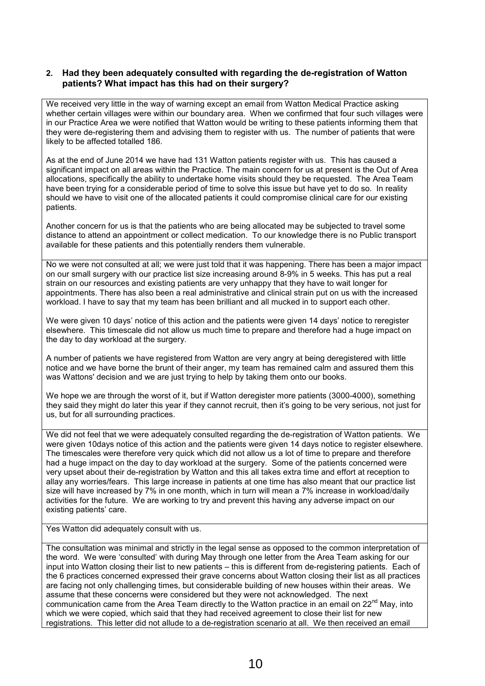#### **2. Had they been adequately consulted with regarding the de-registration of Watton patients? What impact has this had on their surgery?**

We received very little in the way of warning except an email from Watton Medical Practice asking whether certain villages were within our boundary area. When we confirmed that four such villages were in our Practice Area we were notified that Watton would be writing to these patients informing them that they were de-registering them and advising them to register with us. The number of patients that were likely to be affected totalled 186.

As at the end of June 2014 we have had 131 Watton patients register with us. This has caused a significant impact on all areas within the Practice. The main concern for us at present is the Out of Area allocations, specifically the ability to undertake home visits should they be requested. The Area Team have been trying for a considerable period of time to solve this issue but have yet to do so. In reality should we have to visit one of the allocated patients it could compromise clinical care for our existing patients.

Another concern for us is that the patients who are being allocated may be subjected to travel some distance to attend an appointment or collect medication. To our knowledge there is no Public transport available for these patients and this potentially renders them vulnerable.

No we were not consulted at all; we were just told that it was happening. There has been a major impact on our small surgery with our practice list size increasing around 8-9% in 5 weeks. This has put a real strain on our resources and existing patients are very unhappy that they have to wait longer for appointments. There has also been a real administrative and clinical strain put on us with the increased workload. I have to say that my team has been brilliant and all mucked in to support each other.

We were given 10 days' notice of this action and the patients were given 14 days' notice to reregister elsewhere. This timescale did not allow us much time to prepare and therefore had a huge impact on the day to day workload at the surgery.

A number of patients we have registered from Watton are very angry at being deregistered with little notice and we have borne the brunt of their anger, my team has remained calm and assured them this was Wattons' decision and we are just trying to help by taking them onto our books.

We hope we are through the worst of it, but if Watton deregister more patients (3000-4000), something they said they might do later this year if they cannot recruit, then it's going to be very serious, not just for us, but for all surrounding practices.

We did not feel that we were adequately consulted regarding the de-registration of Watton patients. We were given 10days notice of this action and the patients were given 14 days notice to register elsewhere. The timescales were therefore very quick which did not allow us a lot of time to prepare and therefore had a huge impact on the day to day workload at the surgery. Some of the patients concerned were very upset about their de-registration by Watton and this all takes extra time and effort at reception to allay any worries/fears. This large increase in patients at one time has also meant that our practice list size will have increased by 7% in one month, which in turn will mean a 7% increase in workload/daily activities for the future. We are working to try and prevent this having any adverse impact on our existing patients' care.

Yes Watton did adequately consult with us.

The consultation was minimal and strictly in the legal sense as opposed to the common interpretation of the word. We were 'consulted' with during May through one letter from the Area Team asking for our input into Watton closing their list to new patients – this is different from de-registering patients. Each of the 6 practices concerned expressed their grave concerns about Watton closing their list as all practices are facing not only challenging times, but considerable building of new houses within their areas. We assume that these concerns were considered but they were not acknowledged. The next communication came from the Area Team directly to the Watton practice in an email on  $22<sup>nd</sup>$  May, into which we were copied, which said that they had received agreement to close their list for new registrations. This letter did not allude to a de-registration scenario at all. We then received an email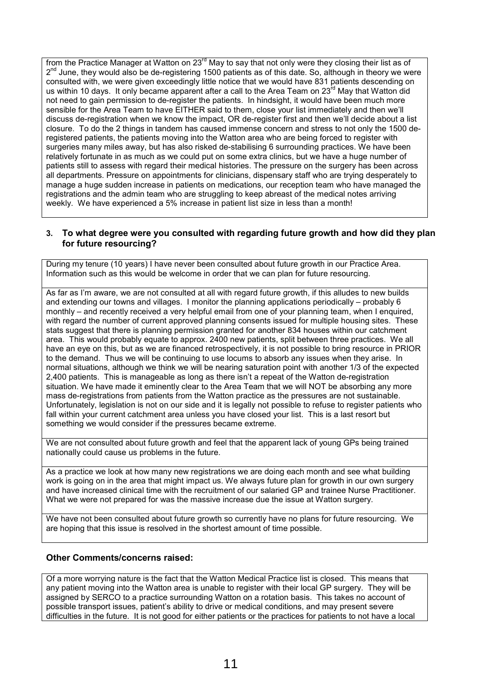from the Practice Manager at Watton on 23<sup>rd</sup> May to say that not only were they closing their list as of 2<sup>nd</sup> June, they would also be de-registering 1500 patients as of this date. So, although in theory we were consulted with, we were given exceedingly little notice that we would have 831 patients descending on us within 10 days. It only became apparent after a call to the Area Team on 23<sup>rd</sup> May that Watton did not need to gain permission to de-register the patients. In hindsight, it would have been much more sensible for the Area Team to have EITHER said to them, close your list immediately and then we'll discuss de-registration when we know the impact, OR de-register first and then we'll decide about a list closure. To do the 2 things in tandem has caused immense concern and stress to not only the 1500 deregistered patients, the patients moving into the Watton area who are being forced to register with surgeries many miles away, but has also risked de-stabilising 6 surrounding practices. We have been relatively fortunate in as much as we could put on some extra clinics, but we have a huge number of patients still to assess with regard their medical histories. The pressure on the surgery has been across all departments. Pressure on appointments for clinicians, dispensary staff who are trying desperately to manage a huge sudden increase in patients on medications, our reception team who have managed the registrations and the admin team who are struggling to keep abreast of the medical notes arriving weekly. We have experienced a 5% increase in patient list size in less than a month!

#### **3. To what degree were you consulted with regarding future growth and how did they plan for future resourcing?**

During my tenure (10 years) I have never been consulted about future growth in our Practice Area. Information such as this would be welcome in order that we can plan for future resourcing.

As far as I'm aware, we are not consulted at all with regard future growth, if this alludes to new builds and extending our towns and villages. I monitor the planning applications periodically – probably 6 monthly – and recently received a very helpful email from one of your planning team, when I enquired, with regard the number of current approved planning consents issued for multiple housing sites. These stats suggest that there is planning permission granted for another 834 houses within our catchment area. This would probably equate to approx. 2400 new patients, split between three practices. We all have an eye on this, but as we are financed retrospectively, it is not possible to bring resource in PRIOR to the demand. Thus we will be continuing to use locums to absorb any issues when they arise. In normal situations, although we think we will be nearing saturation point with another 1/3 of the expected 2,400 patients. This is manageable as long as there isn't a repeat of the Watton de-registration situation. We have made it eminently clear to the Area Team that we will NOT be absorbing any more mass de-registrations from patients from the Watton practice as the pressures are not sustainable. Unfortunately, legislation is not on our side and it is legally not possible to refuse to register patients who fall within your current catchment area unless you have closed your list. This is a last resort but something we would consider if the pressures became extreme.

We are not consulted about future growth and feel that the apparent lack of young GPs being trained nationally could cause us problems in the future.

As a practice we look at how many new registrations we are doing each month and see what building work is going on in the area that might impact us. We always future plan for growth in our own surgery and have increased clinical time with the recruitment of our salaried GP and trainee Nurse Practitioner. What we were not prepared for was the massive increase due the issue at Watton surgery.

We have not been consulted about future growth so currently have no plans for future resourcing. We are hoping that this issue is resolved in the shortest amount of time possible.

#### **Other Comments/concerns raised:**

Of a more worrying nature is the fact that the Watton Medical Practice list is closed. This means that any patient moving into the Watton area is unable to register with their local GP surgery. They will be assigned by SERCO to a practice surrounding Watton on a rotation basis. This takes no account of possible transport issues, patient's ability to drive or medical conditions, and may present severe difficulties in the future. It is not good for either patients or the practices for patients to not have a local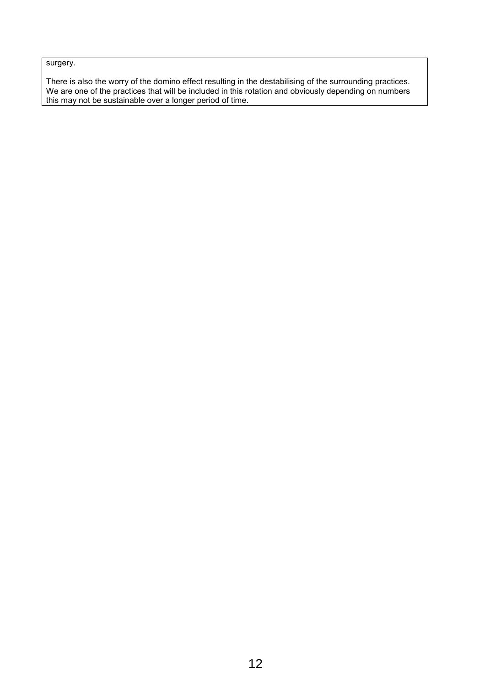surgery.

There is also the worry of the domino effect resulting in the destabilising of the surrounding practices. We are one of the practices that will be included in this rotation and obviously depending on numbers this may not be sustainable over a longer period of time.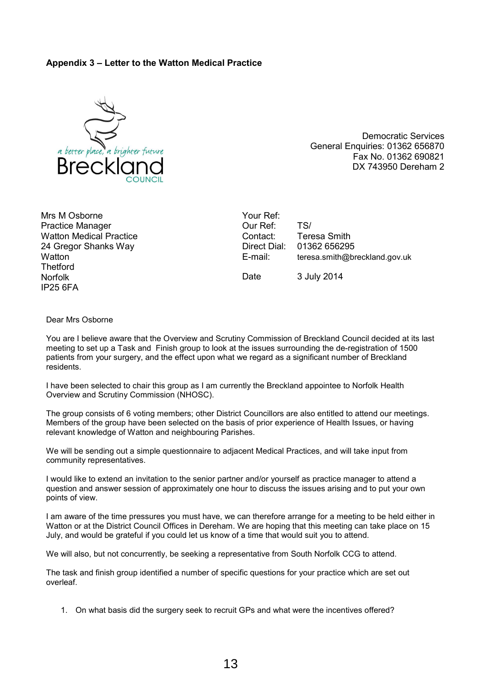#### **Appendix 3 – Letter to the Watton Medical Practice**



Democratic Services General Enquiries: 01362 656870 Fax No. 01362 690821 DX 743950 Dereham 2

Mrs M Osborne Practice Manager Watton Medical Practice 24 Gregor Shanks Way **Watton Thetford** Norfolk IP25 6FA

Your Ref: Our Ref: TS/ Contact: Teresa Smith<br>Direct Dial: 01362 65629 01362 656295 E-mail: teresa.smith@breckland.gov.uk Date 3 July 2014

Dear Mrs Osborne

You are I believe aware that the Overview and Scrutiny Commission of Breckland Council decided at its last meeting to set up a Task and Finish group to look at the issues surrounding the de-registration of 1500 patients from your surgery, and the effect upon what we regard as a significant number of Breckland residents.

I have been selected to chair this group as I am currently the Breckland appointee to Norfolk Health Overview and Scrutiny Commission (NHOSC).

The group consists of 6 voting members; other District Councillors are also entitled to attend our meetings. Members of the group have been selected on the basis of prior experience of Health Issues, or having relevant knowledge of Watton and neighbouring Parishes.

We will be sending out a simple questionnaire to adjacent Medical Practices, and will take input from community representatives.

I would like to extend an invitation to the senior partner and/or yourself as practice manager to attend a question and answer session of approximately one hour to discuss the issues arising and to put your own points of view.

I am aware of the time pressures you must have, we can therefore arrange for a meeting to be held either in Watton or at the District Council Offices in Dereham. We are hoping that this meeting can take place on 15 July, and would be grateful if you could let us know of a time that would suit you to attend.

We will also, but not concurrently, be seeking a representative from South Norfolk CCG to attend.

The task and finish group identified a number of specific questions for your practice which are set out overleaf.

1. On what basis did the surgery seek to recruit GPs and what were the incentives offered?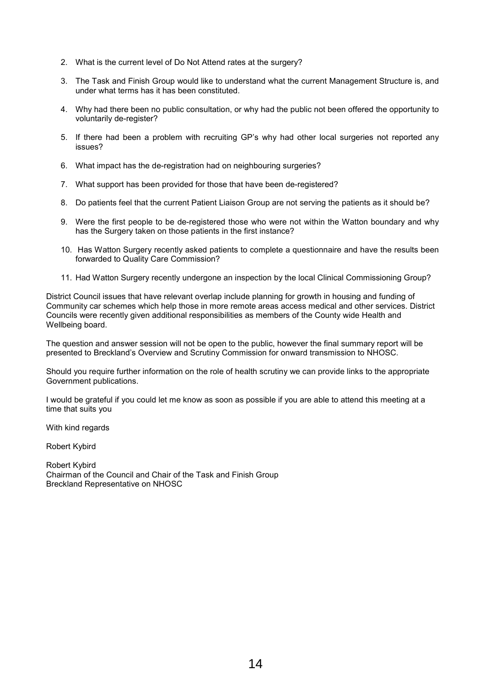- 2. What is the current level of Do Not Attend rates at the surgery?
- 3. The Task and Finish Group would like to understand what the current Management Structure is, and under what terms has it has been constituted.
- 4. Why had there been no public consultation, or why had the public not been offered the opportunity to voluntarily de-register?
- 5. If there had been a problem with recruiting GP's why had other local surgeries not reported any issues?
- 6. What impact has the de-registration had on neighbouring surgeries?
- 7. What support has been provided for those that have been de-registered?
- 8. Do patients feel that the current Patient Liaison Group are not serving the patients as it should be?
- 9. Were the first people to be de-registered those who were not within the Watton boundary and why has the Surgery taken on those patients in the first instance?
- 10. Has Watton Surgery recently asked patients to complete a questionnaire and have the results been forwarded to Quality Care Commission?
- 11. Had Watton Surgery recently undergone an inspection by the local Clinical Commissioning Group?

District Council issues that have relevant overlap include planning for growth in housing and funding of Community car schemes which help those in more remote areas access medical and other services. District Councils were recently given additional responsibilities as members of the County wide Health and Wellbeing board.

The question and answer session will not be open to the public, however the final summary report will be presented to Breckland's Overview and Scrutiny Commission for onward transmission to NHOSC.

Should you require further information on the role of health scrutiny we can provide links to the appropriate Government publications.

I would be grateful if you could let me know as soon as possible if you are able to attend this meeting at a time that suits you

With kind regards

Robert Kybird

Robert Kybird Chairman of the Council and Chair of the Task and Finish Group Breckland Representative on NHOSC